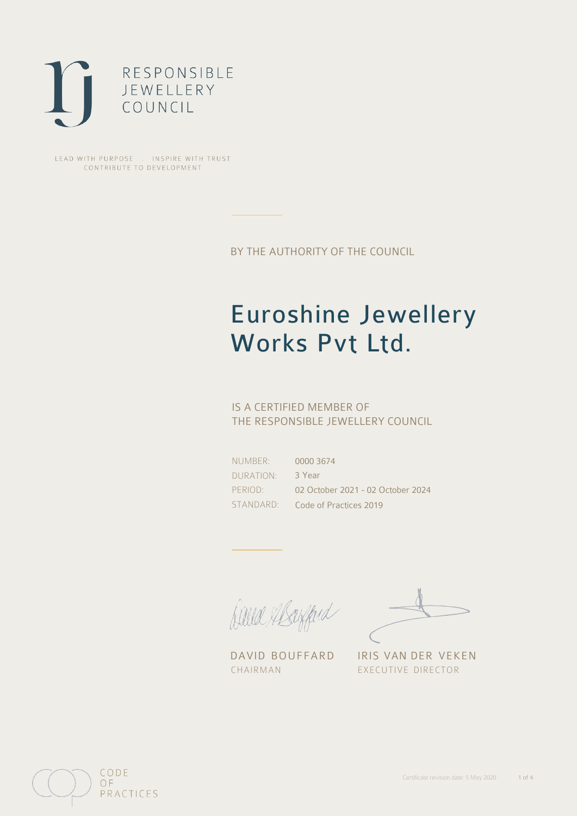

LEAD WITH PURPOSE . INSPIRE WITH TRUST CONTRIBUTE TO DEVELOPMENT

BY THE AUTHORITY OF THE COUNCIL

# Euroshine Jewellery Works Pvt Ltd.

## IS A CERTIFIED MEMBER OF THE RESPONSIBLE JEWELLERY COUNCIL

NUMBER: DURATION: PERIOD:

STANDARD: Code of Practices 2019 0000 3674 3 Year 02 October 2021 - 02 October 2024

David Alsofferd

DAVID BOUFFARD IRIS VAN DER VEKEN CHAIRMAN EXECUTIVE DIRECTOR

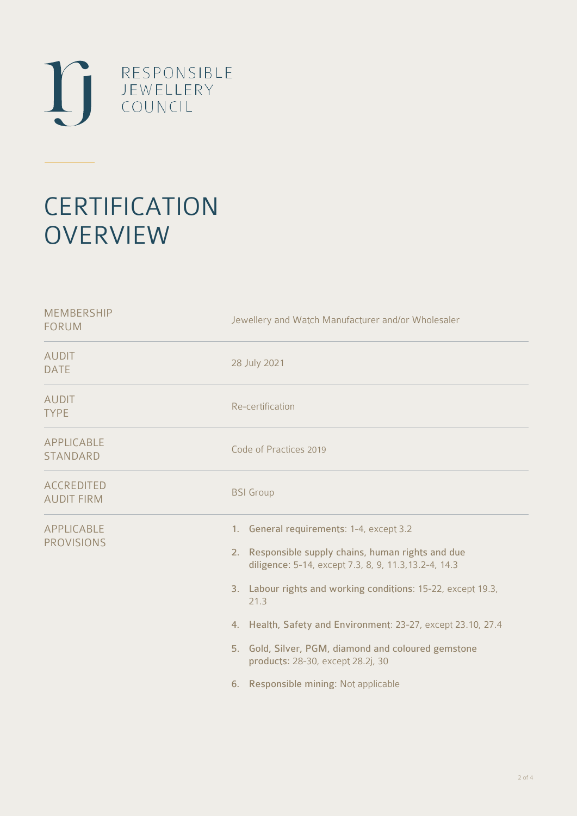

# **CERTIFICATION OVERVIEW**

| <b>MEMBERSHIP</b><br><b>FORUM</b>      | Jewellery and Watch Manufacturer and/or Wholesaler                                                                                                                                                                                                                                                                                                                                                                                   |  |  |
|----------------------------------------|--------------------------------------------------------------------------------------------------------------------------------------------------------------------------------------------------------------------------------------------------------------------------------------------------------------------------------------------------------------------------------------------------------------------------------------|--|--|
| <b>AUDIT</b><br><b>DATE</b>            | 28 July 2021                                                                                                                                                                                                                                                                                                                                                                                                                         |  |  |
| <b>AUDIT</b><br><b>TYPE</b>            | Re-certification                                                                                                                                                                                                                                                                                                                                                                                                                     |  |  |
| APPLICABLE<br>STANDARD                 | Code of Practices 2019                                                                                                                                                                                                                                                                                                                                                                                                               |  |  |
| <b>ACCREDITED</b><br><b>AUDIT FIRM</b> | <b>BSI</b> Group                                                                                                                                                                                                                                                                                                                                                                                                                     |  |  |
| APPLICABLE<br><b>PROVISIONS</b>        | 1. General requirements: 1-4, except 3.2<br>2. Responsible supply chains, human rights and due<br>diligence: 5-14, except 7.3, 8, 9, 11.3, 13.2-4, 14.3<br>3. Labour rights and working conditions: 15-22, except 19.3,<br>21.3<br>4. Health, Safety and Environment: 23-27, except 23.10, 27.4<br>5. Gold, Silver, PGM, diamond and coloured gemstone<br>products: 28-30, except 28.2j, 30<br>6. Responsible mining: Not applicable |  |  |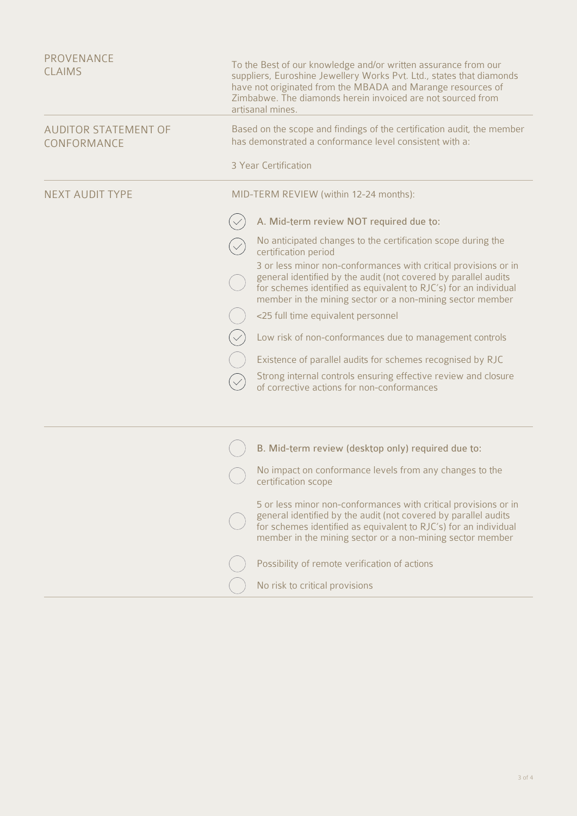| <b>PROVENANCE</b><br><b>CLAIMS</b>         | To the Best of our knowledge and/or written assurance from our<br>suppliers, Euroshine Jewellery Works Pvt. Ltd., states that diamonds<br>have not originated from the MBADA and Marange resources of<br>Zimbabwe. The diamonds herein invoiced are not sourced from<br>artisanal mines. |                                                                                                                                                                                                                                                                     |  |
|--------------------------------------------|------------------------------------------------------------------------------------------------------------------------------------------------------------------------------------------------------------------------------------------------------------------------------------------|---------------------------------------------------------------------------------------------------------------------------------------------------------------------------------------------------------------------------------------------------------------------|--|
| <b>AUDITOR STATEMENT OF</b><br>CONFORMANCE | Based on the scope and findings of the certification audit, the member<br>has demonstrated a conformance level consistent with a:                                                                                                                                                        |                                                                                                                                                                                                                                                                     |  |
|                                            |                                                                                                                                                                                                                                                                                          | 3 Year Certification                                                                                                                                                                                                                                                |  |
| <b>NEXT AUDIT TYPE</b>                     | MID-TERM REVIEW (within 12-24 months):                                                                                                                                                                                                                                                   |                                                                                                                                                                                                                                                                     |  |
|                                            |                                                                                                                                                                                                                                                                                          | A. Mid-term review NOT required due to:                                                                                                                                                                                                                             |  |
|                                            |                                                                                                                                                                                                                                                                                          | No anticipated changes to the certification scope during the<br>certification period                                                                                                                                                                                |  |
|                                            |                                                                                                                                                                                                                                                                                          | 3 or less minor non-conformances with critical provisions or in<br>general identified by the audit (not covered by parallel audits<br>for schemes identified as equivalent to RJC's) for an individual<br>member in the mining sector or a non-mining sector member |  |
|                                            |                                                                                                                                                                                                                                                                                          | <25 full time equivalent personnel                                                                                                                                                                                                                                  |  |
|                                            |                                                                                                                                                                                                                                                                                          | Low risk of non-conformances due to management controls                                                                                                                                                                                                             |  |
|                                            |                                                                                                                                                                                                                                                                                          | Existence of parallel audits for schemes recognised by RJC                                                                                                                                                                                                          |  |
|                                            |                                                                                                                                                                                                                                                                                          | Strong internal controls ensuring effective review and closure<br>of corrective actions for non-conformances                                                                                                                                                        |  |
|                                            |                                                                                                                                                                                                                                                                                          |                                                                                                                                                                                                                                                                     |  |
|                                            |                                                                                                                                                                                                                                                                                          | B. Mid-term review (desktop only) required due to:                                                                                                                                                                                                                  |  |
|                                            |                                                                                                                                                                                                                                                                                          | No impact on conformance levels from any changes to the<br>certification scope                                                                                                                                                                                      |  |
|                                            |                                                                                                                                                                                                                                                                                          | 5 or less minor non-conformances with critical provisions or in<br>general identified by the audit (not covered by parallel audits<br>for schemes identified as equivalent to RJC's) for an individual<br>member in the mining sector or a non-mining sector member |  |
|                                            |                                                                                                                                                                                                                                                                                          | Possibility of remote verification of actions                                                                                                                                                                                                                       |  |
|                                            |                                                                                                                                                                                                                                                                                          | No risk to critical provisions                                                                                                                                                                                                                                      |  |